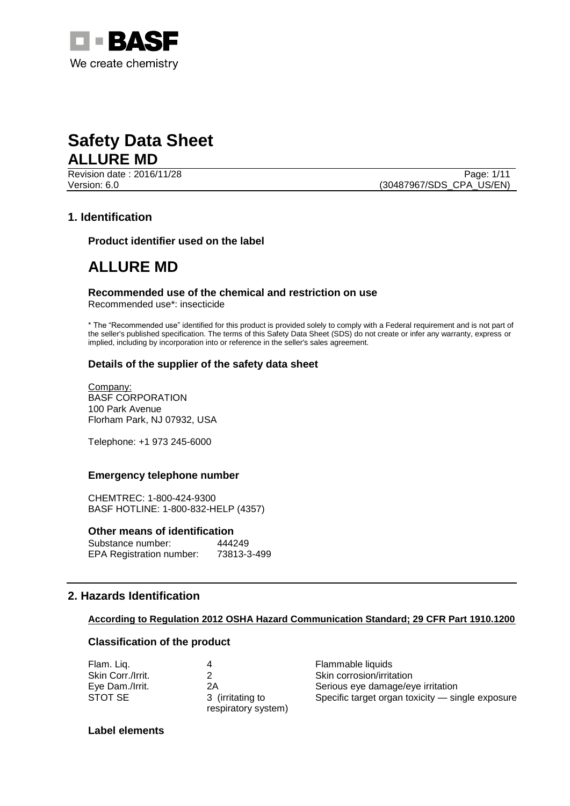

Revision date : 2016/11/28 Page: 1/11

Version: 6.0 (30487967/SDS\_CPA\_US/EN)

# **1. Identification**

**Product identifier used on the label**

# **ALLURE MD**

# **Recommended use of the chemical and restriction on use**

Recommended use\*: insecticide

\* The "Recommended use" identified for this product is provided solely to comply with a Federal requirement and is not part of the seller's published specification. The terms of this Safety Data Sheet (SDS) do not create or infer any warranty, express or implied, including by incorporation into or reference in the seller's sales agreement.

## **Details of the supplier of the safety data sheet**

Company: BASF CORPORATION 100 Park Avenue Florham Park, NJ 07932, USA

Telephone: +1 973 245-6000

### **Emergency telephone number**

CHEMTREC: 1-800-424-9300 BASF HOTLINE: 1-800-832-HELP (4357)

### **Other means of identification**

| Substance number:               | 444249      |
|---------------------------------|-------------|
| <b>EPA Registration number:</b> | 73813-3-499 |

# **2. Hazards Identification**

### **According to Regulation 2012 OSHA Hazard Communication Standard; 29 CFR Part 1910.1200**

### **Classification of the product**

| Flam. Liq.        |                                         | Flammable liquids                                |
|-------------------|-----------------------------------------|--------------------------------------------------|
| Skin Corr./Irrit. |                                         | Skin corrosion/irritation                        |
| Eye Dam./Irrit.   | 2Α                                      | Serious eye damage/eye irritation                |
| STOT SE           | 3 (irritating to<br>respiratory system) | Specific target organ toxicity - single exposure |

### **Label elements**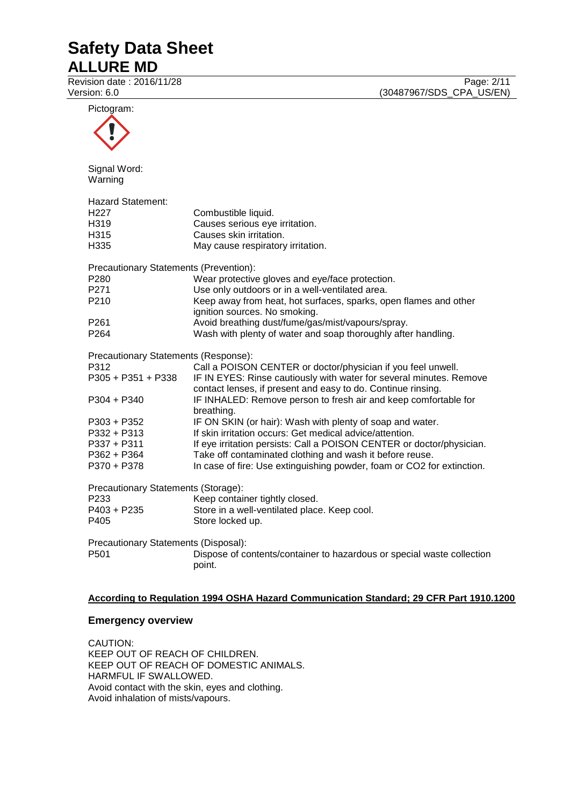Revision date : 2016/11/28 Page: 2/11<br>Version: 6.0 (30487967/SDS\_CPA\_US/EN) (30487967/SDS\_CPA\_US/EN)

| Pictogram:                                                                                                                                                                                                                                                                                                                                                                                              |                                                                                                                                                                                                                                                                                                                                                                                                                                                                                                                                                    |
|---------------------------------------------------------------------------------------------------------------------------------------------------------------------------------------------------------------------------------------------------------------------------------------------------------------------------------------------------------------------------------------------------------|----------------------------------------------------------------------------------------------------------------------------------------------------------------------------------------------------------------------------------------------------------------------------------------------------------------------------------------------------------------------------------------------------------------------------------------------------------------------------------------------------------------------------------------------------|
| Signal Word:<br>Warning                                                                                                                                                                                                                                                                                                                                                                                 |                                                                                                                                                                                                                                                                                                                                                                                                                                                                                                                                                    |
| <b>Hazard Statement:</b><br>H <sub>22</sub> 7<br>H319<br>H315<br>H335                                                                                                                                                                                                                                                                                                                                   | Combustible liquid.<br>Causes serious eye irritation.<br>Causes skin irritation.<br>May cause respiratory irritation.                                                                                                                                                                                                                                                                                                                                                                                                                              |
| Precautionary Statements (Prevention):<br>P <sub>280</sub><br>P271<br>P210                                                                                                                                                                                                                                                                                                                              | Wear protective gloves and eye/face protection.<br>Use only outdoors or in a well-ventilated area.<br>Keep away from heat, hot surfaces, sparks, open flames and other<br>ignition sources. No smoking.                                                                                                                                                                                                                                                                                                                                            |
| P <sub>261</sub><br>P <sub>264</sub>                                                                                                                                                                                                                                                                                                                                                                    | Avoid breathing dust/fume/gas/mist/vapours/spray.<br>Wash with plenty of water and soap thoroughly after handling.                                                                                                                                                                                                                                                                                                                                                                                                                                 |
| Precautionary Statements (Response):<br>P312<br>P305 + P351 + P338<br>$P304 + P340$<br>P303 + P352<br>P332 + P313<br>$P337 + P311$<br>$P362 + P364$                                                                                                                                                                                                                                                     | Call a POISON CENTER or doctor/physician if you feel unwell.<br>IF IN EYES: Rinse cautiously with water for several minutes. Remove<br>contact lenses, if present and easy to do. Continue rinsing.<br>IF INHALED: Remove person to fresh air and keep comfortable for<br>breathing.<br>IF ON SKIN (or hair): Wash with plenty of soap and water.<br>If skin irritation occurs: Get medical advice/attention.<br>If eye irritation persists: Call a POISON CENTER or doctor/physician.<br>Take off contaminated clothing and wash it before reuse. |
| In case of fire: Use extinguishing powder, foam or CO2 for extinction.<br>P370 + P378<br>Precautionary Statements (Storage):<br>P <sub>233</sub><br>Keep container tightly closed.<br>P403 + P235<br>Store in a well-ventilated place. Keep cool.<br>P405<br>Store locked up.<br>Precautionary Statements (Disposal):<br>P501<br>Dispose of contents/container to hazardous or special waste collection |                                                                                                                                                                                                                                                                                                                                                                                                                                                                                                                                                    |

### **According to Regulation 1994 OSHA Hazard Communication Standard; 29 CFR Part 1910.1200**

## **Emergency overview**

CAUTION: KEEP OUT OF REACH OF CHILDREN. KEEP OUT OF REACH OF DOMESTIC ANIMALS. HARMFUL IF SWALLOWED. Avoid contact with the skin, eyes and clothing. Avoid inhalation of mists/vapours.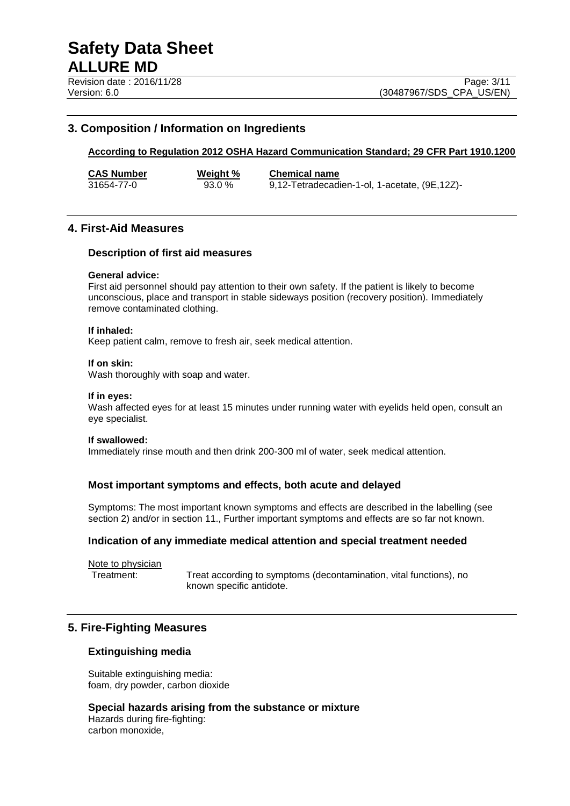# **3. Composition / Information on Ingredients**

## **According to Regulation 2012 OSHA Hazard Communication Standard; 29 CFR Part 1910.1200**

**CAS Number Weight % Chemical name** 93.0 % 9,12-Tetradecadien-1-ol, 1-acetate, (9E,12Z)-

# **4. First-Aid Measures**

### **Description of first aid measures**

#### **General advice:**

First aid personnel should pay attention to their own safety. If the patient is likely to become unconscious, place and transport in stable sideways position (recovery position). Immediately remove contaminated clothing.

#### **If inhaled:**

Keep patient calm, remove to fresh air, seek medical attention.

#### **If on skin:**

Wash thoroughly with soap and water.

#### **If in eyes:**

Wash affected eyes for at least 15 minutes under running water with eyelids held open, consult an eye specialist.

#### **If swallowed:**

Immediately rinse mouth and then drink 200-300 ml of water, seek medical attention.

### **Most important symptoms and effects, both acute and delayed**

Symptoms: The most important known symptoms and effects are described in the labelling (see section 2) and/or in section 11., Further important symptoms and effects are so far not known.

### **Indication of any immediate medical attention and special treatment needed**

Note to physician

Treatment: Treat according to symptoms (decontamination, vital functions), no known specific antidote.

# **5. Fire-Fighting Measures**

#### **Extinguishing media**

Suitable extinguishing media: foam, dry powder, carbon dioxide

**Special hazards arising from the substance or mixture** Hazards during fire-fighting: carbon monoxide,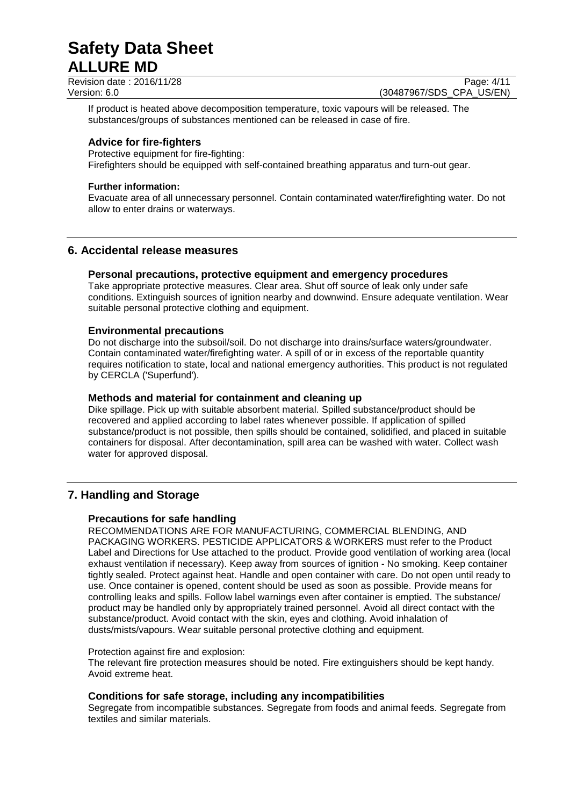Revision date : 2016/11/28 Page: 4/11<br>Version: 6.0 (30487967/SDS\_CPA\_US/EN)

(30487967/SDS\_CPA\_US/EN)

If product is heated above decomposition temperature, toxic vapours will be released. The substances/groups of substances mentioned can be released in case of fire.

# **Advice for fire-fighters**

Protective equipment for fire-fighting: Firefighters should be equipped with self-contained breathing apparatus and turn-out gear.

## **Further information:**

Evacuate area of all unnecessary personnel. Contain contaminated water/firefighting water. Do not allow to enter drains or waterways.

# **6. Accidental release measures**

# **Personal precautions, protective equipment and emergency procedures**

Take appropriate protective measures. Clear area. Shut off source of leak only under safe conditions. Extinguish sources of ignition nearby and downwind. Ensure adequate ventilation. Wear suitable personal protective clothing and equipment.

# **Environmental precautions**

Do not discharge into the subsoil/soil. Do not discharge into drains/surface waters/groundwater. Contain contaminated water/firefighting water. A spill of or in excess of the reportable quantity requires notification to state, local and national emergency authorities. This product is not regulated by CERCLA ('Superfund').

# **Methods and material for containment and cleaning up**

Dike spillage. Pick up with suitable absorbent material. Spilled substance/product should be recovered and applied according to label rates whenever possible. If application of spilled substance/product is not possible, then spills should be contained, solidified, and placed in suitable containers for disposal. After decontamination, spill area can be washed with water. Collect wash water for approved disposal.

# **7. Handling and Storage**

# **Precautions for safe handling**

RECOMMENDATIONS ARE FOR MANUFACTURING, COMMERCIAL BLENDING, AND PACKAGING WORKERS. PESTICIDE APPLICATORS & WORKERS must refer to the Product Label and Directions for Use attached to the product. Provide good ventilation of working area (local exhaust ventilation if necessary). Keep away from sources of ignition - No smoking. Keep container tightly sealed. Protect against heat. Handle and open container with care. Do not open until ready to use. Once container is opened, content should be used as soon as possible. Provide means for controlling leaks and spills. Follow label warnings even after container is emptied. The substance/ product may be handled only by appropriately trained personnel. Avoid all direct contact with the substance/product. Avoid contact with the skin, eyes and clothing. Avoid inhalation of dusts/mists/vapours. Wear suitable personal protective clothing and equipment.

### Protection against fire and explosion:

The relevant fire protection measures should be noted. Fire extinguishers should be kept handy. Avoid extreme heat.

# **Conditions for safe storage, including any incompatibilities**

Segregate from incompatible substances. Segregate from foods and animal feeds. Segregate from textiles and similar materials.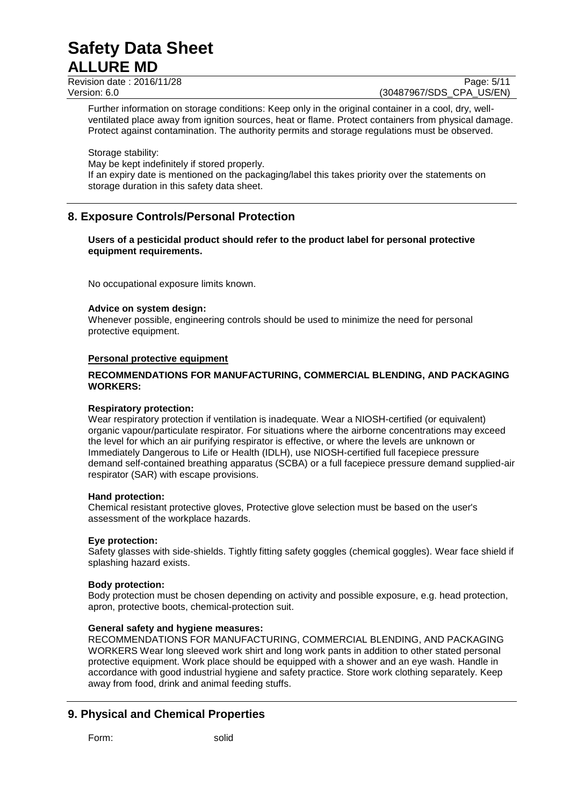Revision date : 2016/11/28 Page: 5/11<br>Version: 6.0 (30487967/SDS CPA US/EN)

(30487967/SDS CPA US/EN)

Further information on storage conditions: Keep only in the original container in a cool, dry, wellventilated place away from ignition sources, heat or flame. Protect containers from physical damage. Protect against contamination. The authority permits and storage regulations must be observed.

Storage stability: May be kept indefinitely if stored properly. If an expiry date is mentioned on the packaging/label this takes priority over the statements on storage duration in this safety data sheet.

# **8. Exposure Controls/Personal Protection**

### **Users of a pesticidal product should refer to the product label for personal protective equipment requirements.**

No occupational exposure limits known.

## **Advice on system design:**

Whenever possible, engineering controls should be used to minimize the need for personal protective equipment.

## **Personal protective equipment**

## **RECOMMENDATIONS FOR MANUFACTURING, COMMERCIAL BLENDING, AND PACKAGING WORKERS:**

### **Respiratory protection:**

Wear respiratory protection if ventilation is inadequate. Wear a NIOSH-certified (or equivalent) organic vapour/particulate respirator. For situations where the airborne concentrations may exceed the level for which an air purifying respirator is effective, or where the levels are unknown or Immediately Dangerous to Life or Health (IDLH), use NIOSH-certified full facepiece pressure demand self-contained breathing apparatus (SCBA) or a full facepiece pressure demand supplied-air respirator (SAR) with escape provisions.

### **Hand protection:**

Chemical resistant protective gloves, Protective glove selection must be based on the user's assessment of the workplace hazards.

### **Eye protection:**

Safety glasses with side-shields. Tightly fitting safety goggles (chemical goggles). Wear face shield if splashing hazard exists.

### **Body protection:**

Body protection must be chosen depending on activity and possible exposure, e.g. head protection, apron, protective boots, chemical-protection suit.

# **General safety and hygiene measures:**

RECOMMENDATIONS FOR MANUFACTURING, COMMERCIAL BLENDING, AND PACKAGING WORKERS Wear long sleeved work shirt and long work pants in addition to other stated personal protective equipment. Work place should be equipped with a shower and an eye wash. Handle in accordance with good industrial hygiene and safety practice. Store work clothing separately. Keep away from food, drink and animal feeding stuffs.

# **9. Physical and Chemical Properties**

Form: solid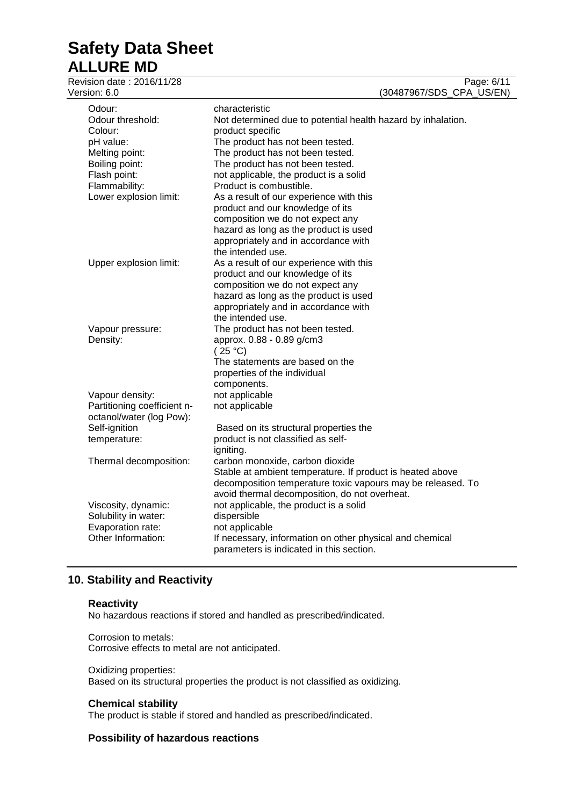| Revision date: 2016/11/28<br>Version: 6.0 | Page: 6/11<br>(30487967/SDS_CPA_US/EN)                                                                                   |
|-------------------------------------------|--------------------------------------------------------------------------------------------------------------------------|
| Odour:                                    | characteristic                                                                                                           |
| Odour threshold:                          | Not determined due to potential health hazard by inhalation.                                                             |
| Colour:                                   | product specific                                                                                                         |
| pH value:                                 | The product has not been tested.                                                                                         |
| Melting point:                            | The product has not been tested.                                                                                         |
| Boiling point:                            | The product has not been tested.                                                                                         |
| Flash point:                              | not applicable, the product is a solid                                                                                   |
| Flammability:                             | Product is combustible.                                                                                                  |
| Lower explosion limit:                    | As a result of our experience with this                                                                                  |
|                                           | product and our knowledge of its                                                                                         |
|                                           | composition we do not expect any                                                                                         |
|                                           | hazard as long as the product is used                                                                                    |
|                                           | appropriately and in accordance with                                                                                     |
|                                           | the intended use.                                                                                                        |
| Upper explosion limit:                    | As a result of our experience with this                                                                                  |
|                                           | product and our knowledge of its                                                                                         |
|                                           | composition we do not expect any                                                                                         |
|                                           | hazard as long as the product is used                                                                                    |
|                                           | appropriately and in accordance with                                                                                     |
|                                           | the intended use.                                                                                                        |
| Vapour pressure:                          | The product has not been tested.                                                                                         |
| Density:                                  | approx. 0.88 - 0.89 g/cm3                                                                                                |
|                                           | (25 °C)                                                                                                                  |
|                                           | The statements are based on the                                                                                          |
|                                           | properties of the individual                                                                                             |
|                                           | components.                                                                                                              |
| Vapour density:                           | not applicable                                                                                                           |
| Partitioning coefficient n-               | not applicable                                                                                                           |
| octanol/water (log Pow):                  |                                                                                                                          |
| Self-ignition                             | Based on its structural properties the                                                                                   |
| temperature:                              | product is not classified as self-                                                                                       |
|                                           | igniting.                                                                                                                |
| Thermal decomposition:                    | carbon monoxide, carbon dioxide                                                                                          |
|                                           | Stable at ambient temperature. If product is heated above<br>decomposition temperature toxic vapours may be released. To |
|                                           | avoid thermal decomposition, do not overheat.                                                                            |
| Viscosity, dynamic:                       | not applicable, the product is a solid                                                                                   |
| Solubility in water:                      | dispersible                                                                                                              |
| Evaporation rate:                         | not applicable                                                                                                           |
| Other Information:                        | If necessary, information on other physical and chemical                                                                 |
|                                           | parameters is indicated in this section.                                                                                 |
|                                           |                                                                                                                          |

# **10. Stability and Reactivity**

# **Reactivity**

No hazardous reactions if stored and handled as prescribed/indicated.

Corrosion to metals: Corrosive effects to metal are not anticipated.

### Oxidizing properties: Based on its structural properties the product is not classified as oxidizing.

# **Chemical stability**

The product is stable if stored and handled as prescribed/indicated.

# **Possibility of hazardous reactions**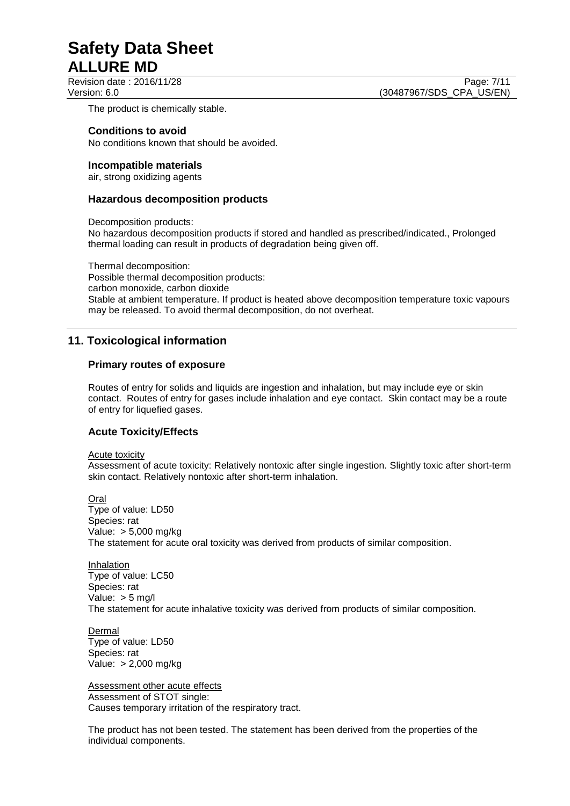Revision date : 2016/11/28 Page: 7/11

The product is chemically stable.

## **Conditions to avoid**

No conditions known that should be avoided.

### **Incompatible materials**

air, strong oxidizing agents

### **Hazardous decomposition products**

Decomposition products:

No hazardous decomposition products if stored and handled as prescribed/indicated., Prolonged thermal loading can result in products of degradation being given off.

Thermal decomposition: Possible thermal decomposition products: carbon monoxide, carbon dioxide Stable at ambient temperature. If product is heated above decomposition temperature toxic vapours may be released. To avoid thermal decomposition, do not overheat.

# **11. Toxicological information**

# **Primary routes of exposure**

Routes of entry for solids and liquids are ingestion and inhalation, but may include eye or skin contact. Routes of entry for gases include inhalation and eye contact. Skin contact may be a route of entry for liquefied gases.

# **Acute Toxicity/Effects**

Acute toxicity

Assessment of acute toxicity: Relatively nontoxic after single ingestion. Slightly toxic after short-term skin contact. Relatively nontoxic after short-term inhalation.

Oral Type of value: LD50 Species: rat Value: > 5,000 mg/kg The statement for acute oral toxicity was derived from products of similar composition.

Inhalation Type of value: LC50 Species: rat Value: > 5 mg/l The statement for acute inhalative toxicity was derived from products of similar composition.

Dermal Type of value: LD50 Species: rat Value: > 2,000 mg/kg

Assessment other acute effects Assessment of STOT single: Causes temporary irritation of the respiratory tract.

The product has not been tested. The statement has been derived from the properties of the individual components.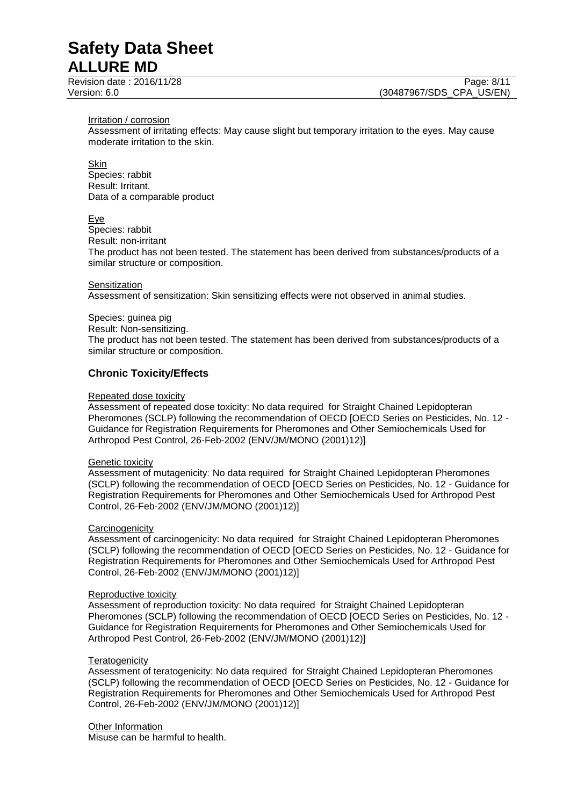#### Irritation / corrosion

Assessment of irritating effects: May cause slight but temporary irritation to the eyes. May cause moderate irritation to the skin.

### **Skin**

Species: rabbit Result: Irritant. Data of a comparable product

### Eye

Species: rabbit

Result: non-irritant

The product has not been tested. The statement has been derived from substances/products of a similar structure or composition.

## **Sensitization**

Assessment of sensitization: Skin sensitizing effects were not observed in animal studies.

### Species: guinea pig

Result: Non-sensitizing.

The product has not been tested. The statement has been derived from substances/products of a similar structure or composition.

## **Chronic Toxicity/Effects**

### Repeated dose toxicity

Assessment of repeated dose toxicity: No data required for Straight Chained Lepidopteran Pheromones (SCLP) following the recommendation of OECD [OECD Series on Pesticides, No. 12 - Guidance for Registration Requirements for Pheromones and Other Semiochemicals Used for Arthropod Pest Control, 26-Feb-2002 (ENV/JM/MONO (2001)12)]

#### Genetic toxicity

Assessment of mutagenicity: No data required for Straight Chained Lepidopteran Pheromones (SCLP) following the recommendation of OECD [OECD Series on Pesticides, No. 12 - Guidance for Registration Requirements for Pheromones and Other Semiochemicals Used for Arthropod Pest Control, 26-Feb-2002 (ENV/JM/MONO (2001)12)]

### **Carcinogenicity**

Assessment of carcinogenicity: No data required for Straight Chained Lepidopteran Pheromones (SCLP) following the recommendation of OECD [OECD Series on Pesticides, No. 12 - Guidance for Registration Requirements for Pheromones and Other Semiochemicals Used for Arthropod Pest Control, 26-Feb-2002 (ENV/JM/MONO (2001)12)]

### Reproductive toxicity

Assessment of reproduction toxicity: No data required for Straight Chained Lepidopteran Pheromones (SCLP) following the recommendation of OECD [OECD Series on Pesticides, No. 12 - Guidance for Registration Requirements for Pheromones and Other Semiochemicals Used for Arthropod Pest Control, 26-Feb-2002 (ENV/JM/MONO (2001)12)]

### **Teratogenicity**

Assessment of teratogenicity: No data required for Straight Chained Lepidopteran Pheromones (SCLP) following the recommendation of OECD [OECD Series on Pesticides, No. 12 - Guidance for Registration Requirements for Pheromones and Other Semiochemicals Used for Arthropod Pest Control, 26-Feb-2002 (ENV/JM/MONO (2001)12)]

**Other Information** Misuse can be harmful to health.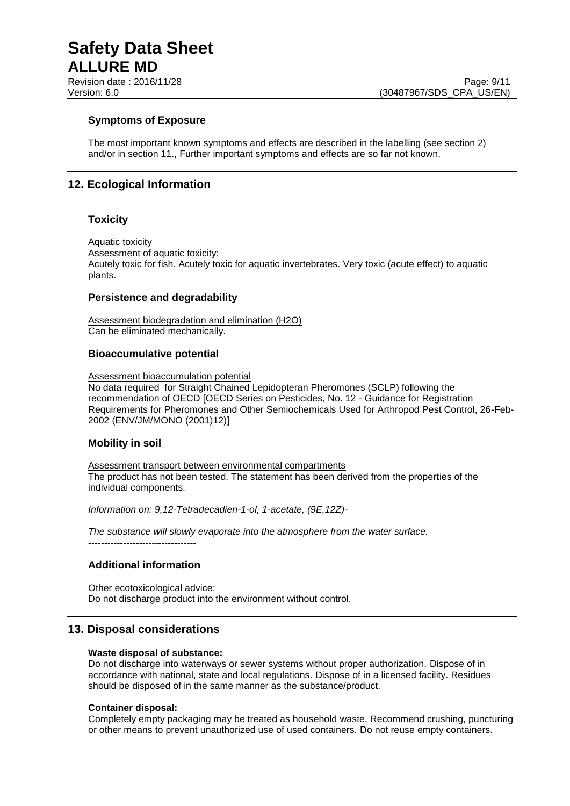Revision date : 2016/11/28 Page: 9/11

# **Symptoms of Exposure**

The most important known symptoms and effects are described in the labelling (see section 2) and/or in section 11., Further important symptoms and effects are so far not known.

# **12. Ecological Information**

# **Toxicity**

Aquatic toxicity Assessment of aquatic toxicity: Acutely toxic for fish. Acutely toxic for aquatic invertebrates. Very toxic (acute effect) to aquatic plants.

# **Persistence and degradability**

Assessment biodegradation and elimination (H2O) Can be eliminated mechanically.

## **Bioaccumulative potential**

Assessment bioaccumulation potential

No data required for Straight Chained Lepidopteran Pheromones (SCLP) following the recommendation of OECD [OECD Series on Pesticides, No. 12 - Guidance for Registration Requirements for Pheromones and Other Semiochemicals Used for Arthropod Pest Control, 26-Feb-2002 (ENV/JM/MONO (2001)12)]

# **Mobility in soil**

Assessment transport between environmental compartments The product has not been tested. The statement has been derived from the properties of the individual components.

*Information on: 9,12-Tetradecadien-1-ol, 1-acetate, (9E,12Z)-*

*The substance will slowly evaporate into the atmosphere from the water surface.* ----------------------------------

# **Additional information**

Other ecotoxicological advice: Do not discharge product into the environment without control.

# **13. Disposal considerations**

### **Waste disposal of substance:**

Do not discharge into waterways or sewer systems without proper authorization. Dispose of in accordance with national, state and local regulations. Dispose of in a licensed facility. Residues should be disposed of in the same manner as the substance/product.

### **Container disposal:**

Completely empty packaging may be treated as household waste. Recommend crushing, puncturing or other means to prevent unauthorized use of used containers. Do not reuse empty containers.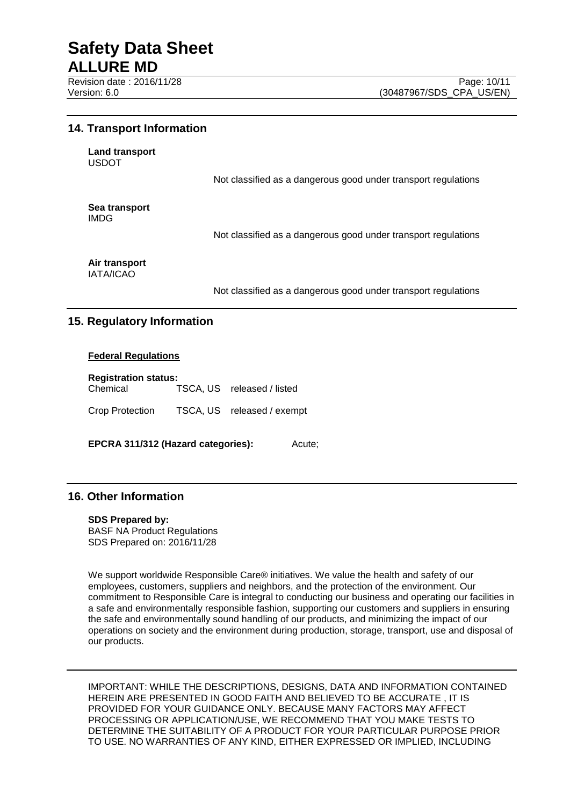# **14. Transport Information**

| Land transport<br><b>USDOT</b>    |                                                                |
|-----------------------------------|----------------------------------------------------------------|
|                                   | Not classified as a dangerous good under transport regulations |
| Sea transport<br><b>IMDG</b>      |                                                                |
|                                   | Not classified as a dangerous good under transport regulations |
| Air transport<br><b>IATA/ICAO</b> |                                                                |
|                                   | Not classified as a dangerous good under transport regulations |

# **15. Regulatory Information**

## **Federal Regulations**

| <b>Registration status:</b> |  |                            |  |  |
|-----------------------------|--|----------------------------|--|--|
| Chemical                    |  | TSCA, US released / listed |  |  |
| Crop Protection             |  | TSCA, US released / exempt |  |  |

**EPCRA 311/312 (Hazard categories):** Acute;

# **16. Other Information**

### **SDS Prepared by:**

BASF NA Product Regulations SDS Prepared on: 2016/11/28

We support worldwide Responsible Care® initiatives. We value the health and safety of our employees, customers, suppliers and neighbors, and the protection of the environment. Our commitment to Responsible Care is integral to conducting our business and operating our facilities in a safe and environmentally responsible fashion, supporting our customers and suppliers in ensuring the safe and environmentally sound handling of our products, and minimizing the impact of our operations on society and the environment during production, storage, transport, use and disposal of our products.

IMPORTANT: WHILE THE DESCRIPTIONS, DESIGNS, DATA AND INFORMATION CONTAINED HEREIN ARE PRESENTED IN GOOD FAITH AND BELIEVED TO BE ACCURATE , IT IS PROVIDED FOR YOUR GUIDANCE ONLY. BECAUSE MANY FACTORS MAY AFFECT PROCESSING OR APPLICATION/USE, WE RECOMMEND THAT YOU MAKE TESTS TO DETERMINE THE SUITABILITY OF A PRODUCT FOR YOUR PARTICULAR PURPOSE PRIOR TO USE. NO WARRANTIES OF ANY KIND, EITHER EXPRESSED OR IMPLIED, INCLUDING